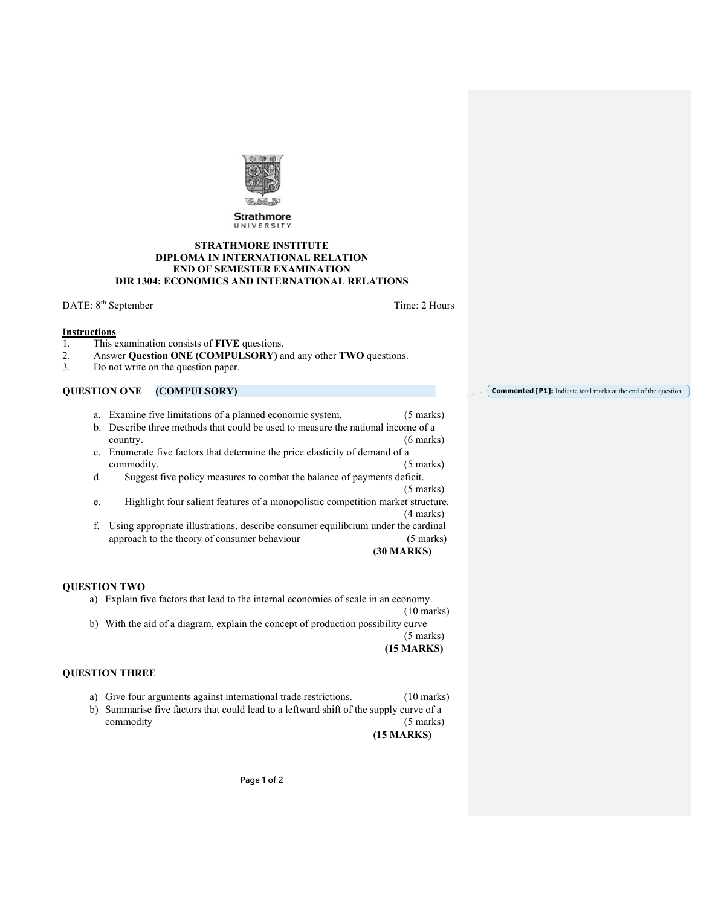

Strathmore UNIVERSIT

#### **STRATHMORE INSTITUTE DIPLOMA IN INTERNATIONAL RELATION END OF SEMESTER EXAMINATION DIR 1304: ECONOMICS AND INTERNATIONAL RELATIONS**

DATE: 8<sup>th</sup> September Time: 2 Hours

**Commented [P1]:** Indicate total marks at the end of the question

#### **Instructions**

- 1. This examination consists of **FIVE** questions.
- 2. Answer **Question ONE (COMPULSORY)** and any other **TWO** questions.
- 3. Do not write on the question paper.

# **QUESTION ONE (COMPULSORY)**

|                                                                                         | a. Examine five limitations of a planned economic system.                        | $(5 \text{ marks})$ |
|-----------------------------------------------------------------------------------------|----------------------------------------------------------------------------------|---------------------|
|                                                                                         | b. Describe three methods that could be used to measure the national income of a |                     |
|                                                                                         | country.                                                                         | $(6 \text{ marks})$ |
|                                                                                         | c. Enumerate five factors that determine the price elasticity of demand of a     |                     |
|                                                                                         | commodity.                                                                       | $(5 \text{ marks})$ |
| d.                                                                                      | Suggest five policy measures to combat the balance of payments deficit.          |                     |
|                                                                                         |                                                                                  | $(5 \text{ marks})$ |
| e.                                                                                      | Highlight four salient features of a monopolistic competition market structure.  |                     |
|                                                                                         |                                                                                  | $(4 \text{ marks})$ |
| Using appropriate illustrations, describe consumer equilibrium under the cardinal<br>f. |                                                                                  |                     |
|                                                                                         | approach to the theory of consumer behaviour                                     | $(5 \text{ marks})$ |
|                                                                                         |                                                                                  | <b>(30 MARKS)</b>   |

### **QUESTION TWO**

a) Explain five factors that lead to the internal economies of scale in an economy. (10 marks)

b) With the aid of a diagram, explain the concept of production possibility curve (5 marks)

**(15 MARKS)**

# **QUESTION THREE**

- a) Give four arguments against international trade restrictions. (10 marks)
- b) Summarise five factors that could lead to a leftward shift of the supply curve of a commodity (5 marks)

**(15 MARKS)**

**Page 1 of 2**